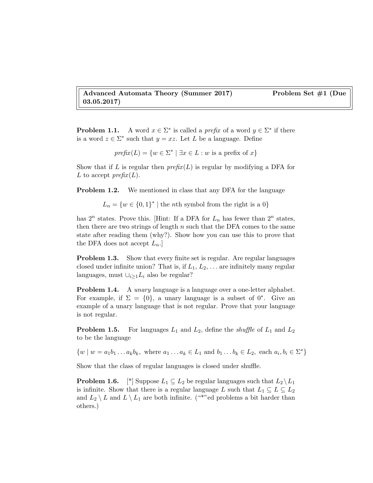Advanced Automata Theory (Summer 2017) Problem Set #1 (Due 03.05.2017)

**Problem 1.1.** A word  $x \in \Sigma^*$  is called a *prefix* of a word  $y \in \Sigma^*$  if there is a word  $z \in \Sigma^*$  such that  $y = xz$ . Let L be a language. Define

$$
prefix(L) = \{w \in \Sigma^* \mid \exists x \in L : w \text{ is a prefix of } x\}
$$

Show that if L is regular then  $prefix(L)$  is regular by modifying a DFA for L to accept  $\text{prefix}(L)$ .

**Problem 1.2.** We mentioned in class that any DFA for the language

 $L_n = \{w \in \{0,1\}^* \mid \text{the } n\text{th symbol from the right is a } 0\}$ 

has  $2^n$  states. Prove this. [Hint: If a DFA for  $L_n$  has fewer than  $2^n$  states, then there are two strings of length  $n$  such that the DFA comes to the same state after reading them (why?). Show how you can use this to prove that the DFA does not accept  $L_n$ .

Problem 1.3. Show that every finite set is regular. Are regular languages closed under infinite union? That is, if  $L_1, L_2, \ldots$  are infinitely many regular languages, must  $\cup_{i\geq 1}L_i$  also be regular?

**Problem 1.4.** A *unary* language is a language over a one-letter alphabet. For example, if  $\Sigma = \{0\}$ , a unary language is a subset of 0<sup>\*</sup>. Give an example of a unary language that is not regular. Prove that your language is not regular.

**Problem 1.5.** For languages  $L_1$  and  $L_2$ , define the *shuffle* of  $L_1$  and  $L_2$ to be the language

 $\{w \mid w = a_1b_1... a_kb_k, \text{ where } a_1... a_k \in L_1 \text{ and } b_1... b_k \in L_2, \text{ each } a_i, b_i \in \Sigma^*\}$ 

Show that the class of regular languages is closed under shuffle.

**Problem 1.6.** [\*] Suppose  $L_1 \subseteq L_2$  be regular languages such that  $L_2 \setminus L_1$ is infinite. Show that there is a regular language L such that  $L_1 \subseteq L \subseteq L_2$ and  $L_2 \setminus L$  and  $L \setminus L_1$  are both infinite. ("\*"ed problems a bit harder than others.)